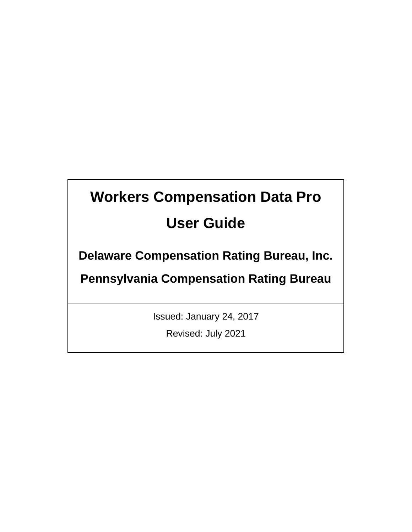# **Workers Compensation Data Pro User Guide**

**Delaware Compensation Rating Bureau, Inc.** 

**Pennsylvania Compensation Rating Bureau**

Issued: January 24, 2017

Revised: July 2021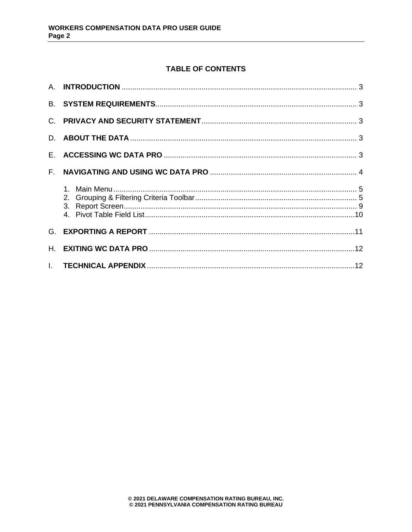# **TABLE OF CONTENTS**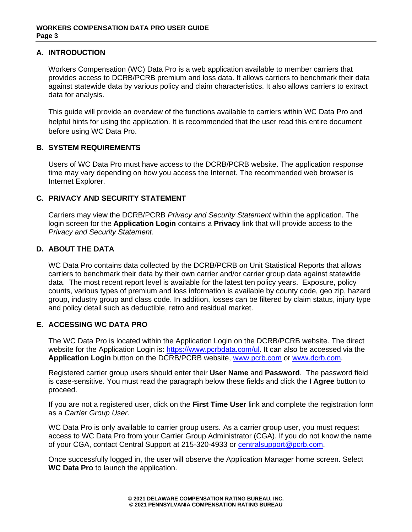# <span id="page-2-0"></span>**A. INTRODUCTION**

Workers Compensation (WC) Data Pro is a web application available to member carriers that provides access to DCRB/PCRB premium and loss data. It allows carriers to benchmark their data against statewide data by various policy and claim characteristics. It also allows carriers to extract data for analysis.

This guide will provide an overview of the functions available to carriers within WC Data Pro and helpful hints for using the application. It is recommended that the user read this entire document before using WC Data Pro.

# <span id="page-2-1"></span>**B. SYSTEM REQUIREMENTS**

Users of WC Data Pro must have access to the DCRB/PCRB website. The application response time may vary depending on how you access the Internet. The recommended web browser is Internet Explorer.

# <span id="page-2-2"></span>**C. PRIVACY AND SECURITY STATEMENT**

Carriers may view the DCRB/PCRB *Privacy and Security Statement* within the application. The login screen for the **Application Login** contains a **Privacy** link that will provide access to the *Privacy and Security Statement*.

# <span id="page-2-3"></span>**D. ABOUT THE DATA**

WC Data Pro contains data collected by the DCRB/PCRB on Unit Statistical Reports that allows carriers to benchmark their data by their own carrier and/or carrier group data against statewide data. The most recent report level is available for the latest ten policy years. Exposure, policy counts, various types of premium and loss information is available by county code, geo zip, hazard group, industry group and class code. In addition, losses can be filtered by claim status, injury type and policy detail such as deductible, retro and residual market.

# <span id="page-2-4"></span>**E. ACCESSING WC DATA PRO**

The WC Data Pro is located within the Application Login on the DCRB/PCRB website. The direct website for the Application Login is: [https://www.pcrbdata.com/ul.](https://www.pcrbdata.com/ul) It can also be accessed via the **Application Login** button on the DCRB/PCRB website, [www.pcrb.com](http://www.pcrb.com/) or [www.dcrb.com.](http://www.dcrb.com/)

Registered carrier group users should enter their **User Name** and **Password**. The password field is case-sensitive. You must read the paragraph below these fields and click the **I Agree** button to proceed.

If you are not a registered user, click on the **First Time User** link and complete the registration form as a *Carrier Group User*.

WC Data Pro is only available to carrier group users. As a carrier group user, you must request access to WC Data Pro from your Carrier Group Administrator (CGA). If you do not know the name of your CGA, contact Central Support at 215-320-4933 or [centralsupport@pcrb.com.](mailto:centralsupport@pcrb.com)

Once successfully logged in, the user will observe the Application Manager home screen. Select **WC Data Pro** to launch the application.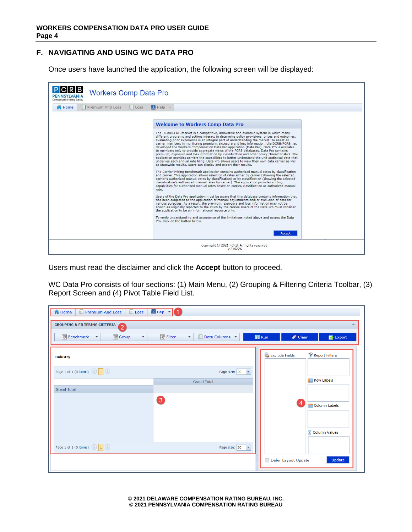# <span id="page-3-0"></span>**F. NAVIGATING AND USING WC DATA PRO**

Once users have launched the application, the following screen will be displayed:

| <b>Workers Comp Data Pro</b><br>Compensation Rating Bureau |                                                                                                                                                                                                                                                                                                                                                                                                                                                                                                                                                                                                                                                                                                                                                                                                                                                                                                                                                                                                                                                                                                                                                                                                                                                                                                                                                                                                                                                                                                                                                                                                                                                                                                                                                                                                                                                                                                                                                                                                                                                                                                     |
|------------------------------------------------------------|-----------------------------------------------------------------------------------------------------------------------------------------------------------------------------------------------------------------------------------------------------------------------------------------------------------------------------------------------------------------------------------------------------------------------------------------------------------------------------------------------------------------------------------------------------------------------------------------------------------------------------------------------------------------------------------------------------------------------------------------------------------------------------------------------------------------------------------------------------------------------------------------------------------------------------------------------------------------------------------------------------------------------------------------------------------------------------------------------------------------------------------------------------------------------------------------------------------------------------------------------------------------------------------------------------------------------------------------------------------------------------------------------------------------------------------------------------------------------------------------------------------------------------------------------------------------------------------------------------------------------------------------------------------------------------------------------------------------------------------------------------------------------------------------------------------------------------------------------------------------------------------------------------------------------------------------------------------------------------------------------------------------------------------------------------------------------------------------------------|
| Premium And Loss<br>Loss<br><b>R</b> Home                  | $H = HeiD$                                                                                                                                                                                                                                                                                                                                                                                                                                                                                                                                                                                                                                                                                                                                                                                                                                                                                                                                                                                                                                                                                                                                                                                                                                                                                                                                                                                                                                                                                                                                                                                                                                                                                                                                                                                                                                                                                                                                                                                                                                                                                          |
|                                                            | <b>Welcome to Workers Comp Data Pro</b><br>The DCRB/PCRB market is a competitive, innovative and dynamic system in which many<br>different programs and actions interact to determine policy provisions, prices and outcomes.<br>Evaluating prior experience is an integral part of understanding the market. To assist all<br>carrier members in monitoring premium, exposure and loss information, the DCRB/PCRB has<br>developed the Workers Compensation Data Pro application (Data Pro). Data Pro is available<br>to members only to provide aggregate views of the PCRB databases. Data Pro contains<br>premium, exposure and loss information by classification and other policy characteristics. The<br>application provides carriers the capabilities to better understand the unit statistical data that<br>underlies each annual rate filing. Data Pro allows users to view their own data carrier as well<br>as statewide results. Users can display and export their results.<br>The Carrier Pricing Benchmark application contains authorized manual rates by classification<br>and carrier. This application allows selection of rates either by carrier (showing the selected<br>carrier's authorized manual rates by classification) or by classification (showing the selected<br>classification's authorized manual rates by carrier). The application provides sorting<br>capabilities for authorized manual rates based on carrier, classification or authorized manual<br>rate.<br>Users of the Data Pro application must be aware that this database contains information that<br>has been subjected to the application of manual adjustments and/or exclusion of data for<br>various purposes. As a result, the premium, exposure and loss information may not be<br>shown as originally reported to the PCRB by the carrier. Users of the Data Pro must consider<br>the application to be an informational resource only.<br>To verify understanding and acceptance of the limitations noted above and access the Data<br>Pro, click on the button below.<br><b>Accept</b> |
|                                                            | Copyright © 2021 PCRB. All rights reserved.<br>V.210226                                                                                                                                                                                                                                                                                                                                                                                                                                                                                                                                                                                                                                                                                                                                                                                                                                                                                                                                                                                                                                                                                                                                                                                                                                                                                                                                                                                                                                                                                                                                                                                                                                                                                                                                                                                                                                                                                                                                                                                                                                             |

Users must read the disclaimer and click the **Accept** button to proceed.

WC Data Pro consists of four sections: (1) Main Menu, (2) Grouping & Filtering Criteria Toolbar, (3) Report Screen and (4) Pivot Table Field List.

| <b>n</b> Home<br><b>Premium And Loss</b><br>П<br>$\Box$ Loss                                                                                              | $2$ Help $\vert \cdot \vert$ 1            |                                  |  |
|-----------------------------------------------------------------------------------------------------------------------------------------------------------|-------------------------------------------|----------------------------------|--|
| GROUPING & FILTERING CRITERIA 2                                                                                                                           |                                           |                                  |  |
| Filter<br>$\bullet$ Clear<br>Benchmark -<br>Group<br><b>Run</b><br>$\tau$<br>Data Columns +<br>$\overline{\mathbb{Z}}$ Export<br>$\overline{\phantom{a}}$ |                                           |                                  |  |
| <b>Industry</b>                                                                                                                                           |                                           | Report Filters<br>Exclude Fields |  |
| Page 1 of 1 (0 items) $\bigcirc$ 1                                                                                                                        | Page size: 20<br>$\overline{\phantom{a}}$ |                                  |  |
|                                                                                                                                                           | <b>Grand Total</b>                        | <b>Row Labels</b>                |  |
| <b>Grand Total</b>                                                                                                                                        |                                           |                                  |  |
|                                                                                                                                                           | $\boxed{3}$                               | 4<br>Column Labels               |  |
|                                                                                                                                                           |                                           | $\Sigma$ Column Values           |  |
| Page 1 of 1 (0 items) $\begin{array}{ c c c }\n\hline\n1 & \odot\n\end{array}$                                                                            | Page size: 20<br>$\overline{\phantom{a}}$ |                                  |  |
|                                                                                                                                                           |                                           | Update<br>Defer Layout Update    |  |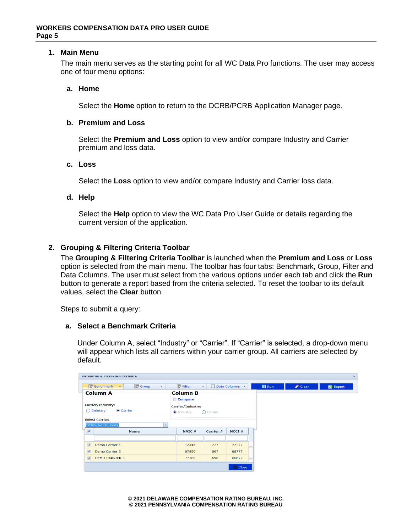## <span id="page-4-0"></span>**1. Main Menu**

The main menu serves as the starting point for all WC Data Pro functions. The user may access one of four menu options:

## **a. Home**

Select the **Home** option to return to the DCRB/PCRB Application Manager page.

## **b. Premium and Loss**

Select the **Premium and Loss** option to view and/or compare Industry and Carrier premium and loss data.

## **c. Loss**

Select the **Loss** option to view and/or compare Industry and Carrier loss data.

## **d. Help**

Select the **Help** option to view the WC Data Pro User Guide or details regarding the current version of the application.

# <span id="page-4-1"></span>**2. Grouping & Filtering Criteria Toolbar**

The **Grouping & Filtering Criteria Toolbar** is launched when the **Premium and Loss** or **Loss** option is selected from the main menu. The toolbar has four tabs: Benchmark, Group, Filter and Data Columns. The user must select from the various options under each tab and click the **Run**  button to generate a report based from the criteria selected. To reset the toolbar to its default values, select the **Clear** button.

Steps to submit a query:

# **a. Select a Benchmark Criteria**

Under Column A, select "Industry" or "Carrier". If "Carrier" is selected, a drop-down menu will appear which lists all carriers within your carrier group. All carriers are selected by default.

|                         | <b>GROUPING &amp; FILTERING CRITERIA</b>                |                   |                               |                |                |                   | $\boldsymbol{\mathsf{A}}$ |
|-------------------------|---------------------------------------------------------|-------------------|-------------------------------|----------------|----------------|-------------------|---------------------------|
|                         | Group<br>Benchmark <b>*</b><br>$\overline{\phantom{a}}$ | Filter            | $\overline{\phantom{a}}$<br>E | Data Columns * | <b>III</b> Run | $\triangle$ Clear | E Export                  |
|                         | <b>Column A</b>                                         | <b>Column B</b>   |                               |                |                |                   |                           |
|                         |                                                         | Compare           |                               |                |                |                   |                           |
|                         | <b>Carrier/Industry:</b>                                | Carrier/Industry: |                               |                |                |                   |                           |
|                         | Carrier<br>$\bigcap$ Industry                           | <b>O</b> Industry | $\bigcap$ Carrier             |                |                |                   |                           |
|                         | <b>Select Carrier:</b>                                  |                   |                               |                |                |                   |                           |
|                         | 12345, 67890, 77766                                     |                   |                               |                |                |                   |                           |
| $\overline{\mathbf{v}}$ | <b>Name</b>                                             | NAIC#             | Carrier #                     | NCCI#          |                |                   |                           |
|                         |                                                         |                   |                               |                |                |                   |                           |
| $\overline{\mathbf{w}}$ | Demo Carrier 1                                          | 12345             | 777                           | 77777          |                |                   |                           |
| $\overline{\mathbf{v}}$ | Demo Carrier 2                                          | 67890             | 667                           | 66777          |                |                   |                           |
| $\boxed{\mathbf{v}}$    | <b>DEMO CARRIER 3</b>                                   | 77766             | 696                           | 66677          |                |                   |                           |
|                         |                                                         |                   |                               | <b>8</b> Close |                |                   |                           |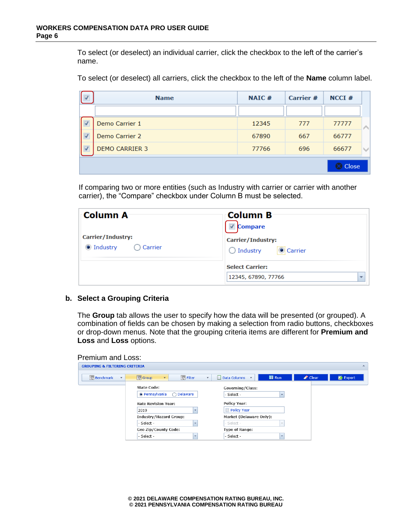To select (or deselect) an individual carrier, click the checkbox to the left of the carrier's name.

To select (or deselect) all carriers, click the checkbox to the left of the **Name** column label.

| <b>Name</b>           | NAIC# | <b>Carrier</b> # | $NCCI$ #           |  |
|-----------------------|-------|------------------|--------------------|--|
|                       |       |                  |                    |  |
| Demo Carrier 1        | 12345 | 777              | 77777              |  |
| Demo Carrier 2        | 67890 | 667              | 66777              |  |
| <b>DEMO CARRIER 3</b> | 77766 | 696              | 66677              |  |
|                       |       |                  | <b>&amp;</b> Close |  |

If comparing two or more entities (such as Industry with carrier or carrier with another carrier), the "Compare" checkbox under Column B must be selected.

| ⊧Column A                                            | <b>Column B</b>                                                              |
|------------------------------------------------------|------------------------------------------------------------------------------|
| Carrier/Industry:<br>● Industry<br>$\bigcap$ Carrier | <b>Compare</b><br>Carrier/Industry:<br><b>Carrier</b><br>$\bigcirc$ Industry |
|                                                      | <b>Select Carrier:</b><br>12345, 67890, 77766<br>$\overline{\phantom{a}}$    |

## **b. Select a Grouping Criteria**

The **Group** tab allows the user to specify how the data will be presented (or grouped). A combination of fields can be chosen by making a selection from radio buttons, checkboxes or drop-down menus. Note that the grouping criteria items are different for **Premium and Loss** and **Loss** options.

| <b>GROUPING &amp; FILTERING CRITERIA</b>    |                                         | $\mathbb{A}$                                                                          |  |
|---------------------------------------------|-----------------------------------------|---------------------------------------------------------------------------------------|--|
| <b>Benchmark</b><br>$\overline{\mathbf{v}}$ | Filter<br>Group<br>٠                    | $\Box$ Run<br>$\triangle$ Clear<br>$\overline{\bullet}$ Export<br>Data Columns T<br>▼ |  |
|                                             | <b>State Code:</b>                      | Governing/Class:                                                                      |  |
|                                             | <sup>O</sup> Pennsylvania<br>◯ Delaware | - Select -                                                                            |  |
|                                             | <b>Rate Revision Year:</b>              | <b>Policy Year:</b>                                                                   |  |
|                                             | 2019                                    | <b>Policy Year</b>                                                                    |  |
|                                             | <b>Industry/Hazard Group:</b>           | Market (Delaware Only):                                                               |  |
|                                             | - Select -<br>$\overline{\phantom{a}}$  | - Select -                                                                            |  |
|                                             | Geo Zip/County Code:                    | <b>Type of Range:</b>                                                                 |  |
|                                             | - Select -<br>$\overline{\phantom{a}}$  | - Select -<br>$\overline{\phantom{a}}$                                                |  |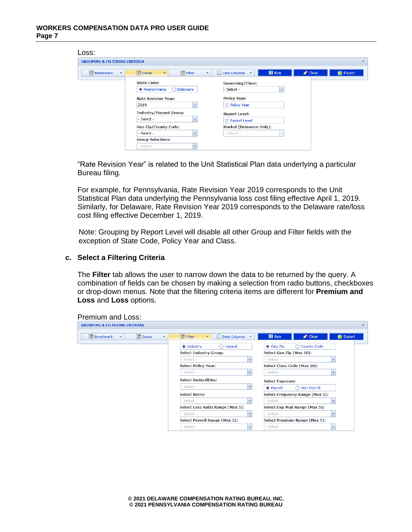| Loss:                                        |                                                                         |                                                                            |                                                     |
|----------------------------------------------|-------------------------------------------------------------------------|----------------------------------------------------------------------------|-----------------------------------------------------|
| <b>GROUPING &amp; FILTERING CRITERIA</b>     |                                                                         |                                                                            | $\mathbf{A}$                                        |
| <b>Benchmark</b><br>$\overline{\phantom{a}}$ | Filter<br>Group<br>$\overline{\mathbf{v}}$                              | $\blacksquare$ Run<br>Data Columns<br>$\scriptstyle\overline{\phantom{a}}$ | $\triangle$ Clear<br>$\overline{\mathbb{C}}$ Export |
|                                              | <b>State Code:</b><br><sup>O</sup> Pennsylvania<br>◯ Delaware           | <b>Governing/Class:</b><br>- Select -<br>$\overline{\phantom{a}}$          |                                                     |
|                                              | <b>Rate Revision Year:</b><br>2019<br>$\overline{\phantom{a}}$          | <b>Policy Year:</b><br><b>Policy Year</b>                                  |                                                     |
|                                              | <b>Industry/Hazard Group:</b><br>- Select -<br>$\overline{\phantom{0}}$ | <b>Report Level:</b><br>Report Level                                       |                                                     |
|                                              | Geo Zip/County Code:<br>- Select -<br>$\overline{\phantom{a}}$          | Market (Delaware Only):<br>- Select -<br>$\sim$                            |                                                     |
|                                              | <b>Group Selections:</b><br>- Select -<br>$\overline{\phantom{a}}$      |                                                                            |                                                     |

"Rate Revision Year" is related to the Unit Statistical Plan data underlying a particular Bureau filing.

For example, for Pennsylvania, Rate Revision Year 2019 corresponds to the Unit Statistical Plan data underlying the Pennsylvania loss cost filing effective April 1, 2019. Similarly, for Delaware, Rate Revision Year 2019 corresponds to the Delaware rate/loss cost filing effective December 1, 2019.

Note: Grouping by Report Level will disable all other Group and Filter fields with the exception of State Code, Policy Year and Class.

## **c. Select a Filtering Criteria**

The **Filter** tab allows the user to narrow down the data to be returned by the query. A combination of fields can be chosen by making a selection from radio buttons, checkboxes or drop-down menus. Note that the filtering criteria items are different for **Premium and Loss** and **Loss** options.

| <b>Premium and Loss:</b>                                                   |                                                                        |                                                        |                                |
|----------------------------------------------------------------------------|------------------------------------------------------------------------|--------------------------------------------------------|--------------------------------|
| <b>GROUPING &amp; FILTERING CRITERIA</b>                                   |                                                                        |                                                        | $\mathcal{A}$                  |
| Group<br>Benchmark<br>$\overline{\phantom{a}}$<br>$\overline{\phantom{a}}$ | <sup>■</sup> Filter<br>Data Columns T<br>÷.<br>$\overline{\mathbf{v}}$ | <b>Run</b><br>$\triangle$ Clear                        | $\overline{\mathbb{Z}}$ Export |
|                                                                            | lndustry<br>◯ Hazard<br><b>Select Industry Group:</b>                  | ◯ County Code<br>● Geo Zip<br>Select Geo Zip (Max 10): |                                |
|                                                                            | - Select -<br>$\overline{\mathbf{v}}$                                  | - Select -                                             | $\overline{\phantom{a}}$       |
|                                                                            | <b>Select Policy Year:</b><br>Select -<br>$\overline{\phantom{0}}$     | Select Class Code (Max 10):<br>Select -                | $\overline{\phantom{a}}$       |
|                                                                            | <b>Select Deductibles:</b>                                             | <b>Select Exposure:</b>                                |                                |
|                                                                            | Select -<br>$\overline{\mathbf{v}}$                                    | <sup>O</sup> Payroll<br>◯ Non Payroll                  |                                |
|                                                                            | <b>Select Retro:</b><br>Select -                                       | <b>Select Frequency Range (Max 5):</b><br>Select -     |                                |
|                                                                            | <b>Select Loss Ratio Range (Max 5):</b>                                | Select Exp Mod Range (Max 5):                          |                                |
|                                                                            | Select -                                                               | Select -                                               |                                |
|                                                                            | <b>Select Payroll Range (Max 5):</b>                                   | <b>Select Premium Range (Max 5):</b>                   |                                |
|                                                                            | Select -<br>$\cdot$                                                    | Select -                                               | $\overline{\phantom{a}}$       |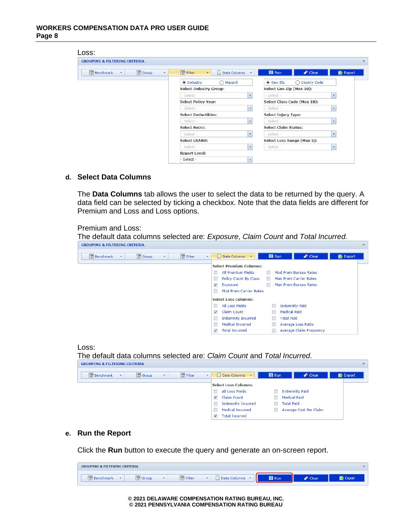| Loss:                                                                      |                                             |                                                                  |
|----------------------------------------------------------------------------|---------------------------------------------|------------------------------------------------------------------|
| <b>GROUPING &amp; FILTERING CRITERIA</b>                                   |                                             | $\sim$                                                           |
| Group<br>Benchmark<br>$\overline{\phantom{a}}$<br>$\overline{\phantom{a}}$ | Filter<br>H<br>Data Columns<br>$\mathbf{v}$ | <b>B</b> Run<br>$\triangle$ Clear<br>$\overline{\bullet}$ Export |
|                                                                            | le Industry<br>◯ Hazard                     | ◯ County Code<br>● Geo Zip                                       |
|                                                                            | <b>Select Industry Group:</b>               | Select Geo Zip (Max 10):                                         |
|                                                                            | - Select -<br>$\mathbf{v}$                  | - Select -<br>$\cdot$                                            |
|                                                                            | <b>Select Policy Year:</b>                  | Select Class Code (Max 10):                                      |
|                                                                            | - Select -<br>$\overline{\mathbf{v}}$       | - Select -<br>$\overline{\phantom{a}}$                           |
|                                                                            | <b>Select Deductibles:</b>                  | <b>Select Injury Type:</b>                                       |
|                                                                            | - Select -<br>$\overline{\mathbf{v}}$       | - Select -<br>$\overline{\mathbf{v}}$                            |
|                                                                            | <b>Select Retro:</b>                        | <b>Select Claim Status:</b>                                      |
|                                                                            | - Select -<br>$\mathbf{v}$                  | - Select -<br>$\overline{\mathbf{v}}$                            |
|                                                                            | <b>Select LRARO:</b>                        | Select Loss Range (Max 5):                                       |
|                                                                            | - Select -<br>$\overline{\mathbf{v}}$       | - Select -<br>$\overline{\phantom{a}}$                           |
|                                                                            | <b>Report Level:</b>                        |                                                                  |
|                                                                            | Select -<br>$\cdot$                         |                                                                  |

# **d. Select Data Columns**

The **Data Columns** tab allows the user to select the data to be returned by the query. A data field can be selected by ticking a checkbox. Note that the data fields are different for Premium and Loss and Loss options.

 $\sqrt{ }$ 

Premium and Loss:

The default data columns selected are: *Exposure*, *Claim Count* and *Total Incurred*.

| Group<br>图 Filter<br>Benchmark<br>$\overline{\phantom{a}}$<br>$\overline{\phantom{a}}$<br>$\overline{\phantom{a}}$ | <b>III</b> Run<br>$\triangle$ Clear<br>$\overline{\mathbb{Z}}$ Export<br>Data Columns<br>$\overline{\phantom{a}}$ |
|--------------------------------------------------------------------------------------------------------------------|-------------------------------------------------------------------------------------------------------------------|
|                                                                                                                    | <b>Select Premium Columns:</b>                                                                                    |
|                                                                                                                    | Mod Prem Bureau Rates<br>All Premium Fields<br>$\Box$<br>$\Box$                                                   |
|                                                                                                                    | Policy Count By Class<br>Man Prem Carrier Rates<br>$\Box$<br>$\Box$                                               |
|                                                                                                                    | Man Prem Bureau Rates<br><b>Exposure</b><br>$\blacktriangledown$<br>$\Box$                                        |
|                                                                                                                    | $\Box$<br><b>Mod Prem Carrier Rates</b>                                                                           |
|                                                                                                                    | <b>Select Loss Columns:</b>                                                                                       |
|                                                                                                                    | All Loss Fields<br><b>Indemnity Paid</b><br>$\Box$                                                                |
|                                                                                                                    | Claim Count<br><b>Medical Paid</b><br>$\blacktriangledown$                                                        |
|                                                                                                                    | $\Box$<br><b>Indemnity Incurred</b><br><b>Total Paid</b><br>$\Box$                                                |
|                                                                                                                    | $\Box$<br><b>Medical Incurred</b><br>Average Loss Ratio                                                           |
|                                                                                                                    | <b>Total Incurred</b><br><b>Average Claim Frequency</b><br>$\overline{\mathbf{v}}$                                |





#### **e. Run the Report**

Click the **Run** button to execute the query and generate an on-screen report.

| <b>GROUPING &amp; FILTERING CRITERIA</b><br>∼ |                                          |     |                   |        |  |  |  |  |
|-----------------------------------------------|------------------------------------------|-----|-------------------|--------|--|--|--|--|
| uroup.<br><b>Denchmark</b>                    | <b>Light</b><br>Filter<br><b>Columns</b> | Run | I<br><b>Clear</b> | Export |  |  |  |  |

**© 2021 DELAWARE COMPENSATION RATING BUREAU, INC. © 2021 PENNSYLVANIA COMPENSATION RATING BUREAU**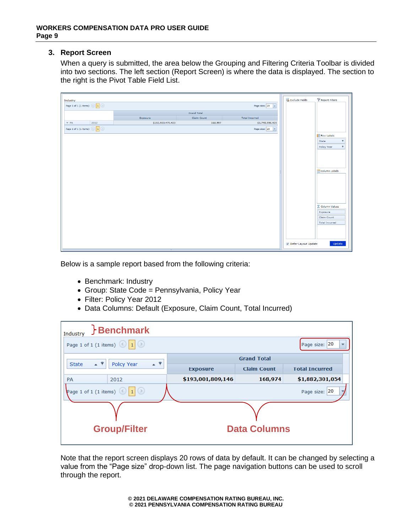# <span id="page-8-0"></span>**3. Report Screen**

When a query is submitted, the area below the Grouping and Filtering Criteria Toolbar is divided into two sections. The left section (Report Screen) is where the data is displayed. The section to the right is the Pivot Table Field List.

| Industry                            |                   |             |                                           | Exclude Fields      | Report Filters                   |
|-------------------------------------|-------------------|-------------|-------------------------------------------|---------------------|----------------------------------|
| Page 1 of 1 (1 items) $\bigcirc$ 1  |                   |             | Page size: $20 - 7$                       |                     |                                  |
|                                     |                   |             |                                           |                     |                                  |
|                                     | Exposure          | Claim Count | <b>Total Incurred</b>                     |                     |                                  |
| 2012<br>$\vee$ PA                   | \$192,903,470,433 | 168,557     | \$1,740,996,420                           |                     |                                  |
| Page 1 of 1 (1 items) $\circled{1}$ |                   |             | Page size: 20<br>$\overline{\phantom{a}}$ |                     |                                  |
|                                     |                   |             |                                           |                     | <b>Row Labels</b>                |
|                                     |                   |             |                                           |                     | $\overline{\mathbf{Y}}$<br>State |
|                                     |                   |             |                                           |                     | Ÿ<br>Policy Year                 |
|                                     |                   |             |                                           |                     |                                  |
|                                     |                   |             |                                           |                     |                                  |
|                                     |                   |             |                                           |                     |                                  |
|                                     |                   |             |                                           |                     | Column Labels                    |
|                                     |                   |             |                                           |                     |                                  |
|                                     |                   |             |                                           |                     |                                  |
|                                     |                   |             |                                           |                     |                                  |
|                                     |                   |             |                                           |                     |                                  |
|                                     |                   |             |                                           |                     |                                  |
|                                     |                   |             |                                           |                     |                                  |
|                                     |                   |             |                                           |                     | $\Sigma$ Column Values           |
|                                     |                   |             |                                           |                     | Exposure<br>Claim Count          |
|                                     |                   |             |                                           |                     | <b>Total Incurred</b>            |
|                                     |                   |             |                                           |                     |                                  |
|                                     |                   |             |                                           |                     |                                  |
|                                     |                   |             |                                           |                     |                                  |
|                                     |                   |             |                                           | Defer Layout Update | Update                           |
|                                     |                   |             |                                           |                     |                                  |

Below is a sample report based from the following criteria:

- Benchmark: Industry
- Group: State Code = Pennsylvania, Policy Year
- Filter: Policy Year 2012
- Data Columns: Default (Exposure, Claim Count, Total Incurred)

| Benchmark<br>Industry              |         |                     |                    |                       |  |  |
|------------------------------------|---------|---------------------|--------------------|-----------------------|--|--|
| Page 1 of 1 (1 items) $\bigcirc$ 1 |         |                     |                    | Page size: 20         |  |  |
| $\sim$ $\sqrt{ }$                  | $+$ $9$ |                     | <b>Grand Total</b> |                       |  |  |
| <b>Policy Year</b><br><b>State</b> |         | <b>Exposure</b>     | <b>Claim Count</b> | <b>Total Incurred</b> |  |  |
| <b>PA</b><br>2012                  |         | \$193,001,809,146   | 168,974            | \$1,882,301,054       |  |  |
| Page 1 of 1 (1 items) $\bigcirc$ 1 |         |                     | Page size: 20      |                       |  |  |
|                                    |         |                     |                    |                       |  |  |
| <b>Group/Filter</b>                |         | <b>Data Columns</b> |                    |                       |  |  |

Note that the report screen displays 20 rows of data by default. It can be changed by selecting a value from the "Page size" drop-down list. The page navigation buttons can be used to scroll through the report.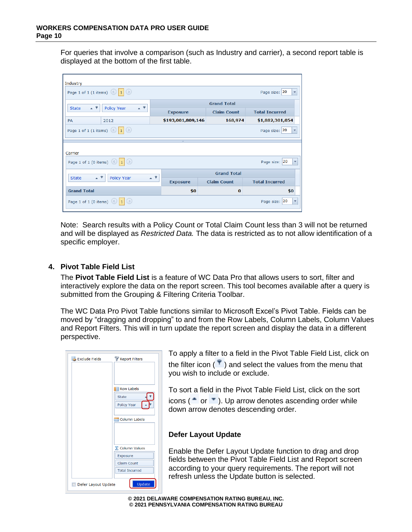For queries that involve a comparison (such as Industry and carrier), a second report table is displayed at the bottom of the first table.

| Industry                                                                                     |                   |                    |                                           |  |  |  |
|----------------------------------------------------------------------------------------------|-------------------|--------------------|-------------------------------------------|--|--|--|
| Page 1 of 1 (1 items) $\bigcirc$ 1                                                           |                   |                    | Page size: 20                             |  |  |  |
| $\sim$ 9<br>$-9$                                                                             |                   | <b>Grand Total</b> |                                           |  |  |  |
| <b>Policy Year</b><br><b>State</b>                                                           | <b>Exposure</b>   | <b>Claim Count</b> | <b>Total Incurred</b>                     |  |  |  |
| 2012<br>PA                                                                                   | \$193,001,809,146 | 168,974            | \$1,882,301,054                           |  |  |  |
| Page 1 of 1 (1 items) $\left  \begin{array}{c c} 1 & 1 \end{array} \right $<br>Page size: 20 |                   |                    |                                           |  |  |  |
|                                                                                              |                   |                    |                                           |  |  |  |
| Carrier                                                                                      |                   |                    |                                           |  |  |  |
| Page 1 of 1 (0 items) $\bigcirc$ 1                                                           |                   |                    | Page size: 20<br>$\overline{\phantom{a}}$ |  |  |  |
|                                                                                              |                   | <b>Grand Total</b> |                                           |  |  |  |
| $-9$<br>$\sim$ $\sqrt{ }$<br>Policy Year<br><b>State</b>                                     | <b>Exposure</b>   | <b>Claim Count</b> | <b>Total Incurred</b>                     |  |  |  |
| <b>Grand Total</b>                                                                           | \$0               | $\bf{0}$           | \$0                                       |  |  |  |
| Page 1 of 1 (0 items) $\bigcirc$ 1                                                           |                   |                    | Page size: 20<br>$\overline{\mathbf{v}}$  |  |  |  |

Note: Search results with a Policy Count or Total Claim Count less than 3 will not be returned and will be displayed as *Restricted Data.* The data is restricted as to not allow identification of a specific employer.

# <span id="page-9-0"></span>**4. Pivot Table Field List**

The **Pivot Table Field List** is a feature of WC Data Pro that allows users to sort, filter and interactively explore the data on the report screen. This tool becomes available after a query is submitted from the Grouping & Filtering Criteria Toolbar.

The WC Data Pro Pivot Table functions similar to Microsoft Excel's Pivot Table. Fields can be moved by "dragging and dropping" to and from the Row Labels, Column Labels, Column Values and Report Filters. This will in turn update the report screen and display the data in a different perspective.

| 是<br><b>Exclude Fields</b> | Report Filters         |
|----------------------------|------------------------|
|                            |                        |
|                            |                        |
|                            |                        |
|                            | <b>Row Labels</b>      |
|                            | <b>State</b>           |
|                            | Policy Year            |
|                            |                        |
|                            | Column Labels          |
|                            |                        |
|                            |                        |
|                            |                        |
|                            | $\Sigma$ Column Values |
|                            | Exposure               |
|                            | Claim Count            |
|                            | <b>Total Incurred</b>  |
|                            |                        |
| Defer Layout Update        | <b>Update</b>          |

To apply a filter to a field in the Pivot Table Field List, click on the filter icon ( $\top$ ) and select the values from the menu that you wish to include or exclude.

To sort a field in the Pivot Table Field List, click on the sort icons ( $\bullet$  or  $\bullet$ ). Up arrow denotes ascending order while down arrow denotes descending order.

# **Defer Layout Update**

Enable the Defer Layout Update function to drag and drop fields between the Pivot Table Field List and Report screen according to your query requirements. The report will not refresh unless the Update button is selected.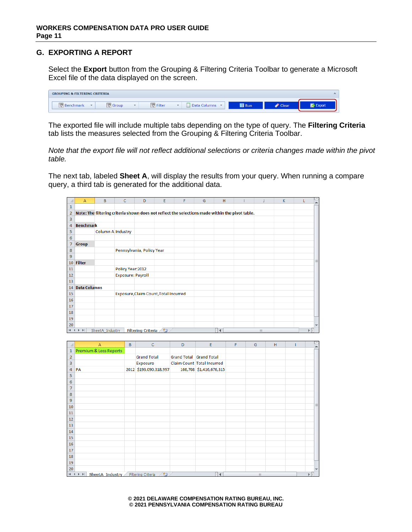# <span id="page-10-0"></span>**G. EXPORTING A REPORT**

Select the **Export** button from the Grouping & Filtering Criteria Toolbar to generate a Microsoft Excel file of the data displayed on the screen.

| <b>GROUPING &amp; FILTERING CRITERIA</b><br>$\sim$ |                        |            |                   |        |  |  |  |
|----------------------------------------------------|------------------------|------------|-------------------|--------|--|--|--|
| Benchmark<br><b>Group</b><br>$\mathbf{r}$          | Filter<br>Data Columns | <b>Run</b> | $\triangle$ Clear | Export |  |  |  |

The exported file will include multiple tabs depending on the type of query. The **Filtering Criteria** tab lists the measures selected from the Grouping & Filtering Criteria Toolbar.

*Note that the export file will not reflect additional selections or criteria changes made within the pivot table.*

The next tab, labeled **Sheet A**, will display the results from your query. When running a compare query, a third tab is generated for the additional data.

|                | A                                     | B                        | C                        | D                         | E | F | G | н  |                                                                                                 |     | K |   |   |
|----------------|---------------------------------------|--------------------------|--------------------------|---------------------------|---|---|---|----|-------------------------------------------------------------------------------------------------|-----|---|---|---|
| 1              |                                       |                          |                          |                           |   |   |   |    |                                                                                                 |     |   |   |   |
| $\overline{2}$ |                                       |                          |                          |                           |   |   |   |    | Note: The filtering criteria shown does not reflect the selections made within the pivot table. |     |   |   |   |
| 3              |                                       |                          |                          |                           |   |   |   |    |                                                                                                 |     |   |   |   |
| 4              | <b>Benchmark</b>                      |                          |                          |                           |   |   |   |    |                                                                                                 |     |   |   |   |
| 5              |                                       | <b>Column A Industry</b> |                          |                           |   |   |   |    |                                                                                                 |     |   |   |   |
| 6              |                                       |                          |                          |                           |   |   |   |    |                                                                                                 |     |   |   |   |
| 7              | <b>Group</b>                          |                          |                          |                           |   |   |   |    |                                                                                                 |     |   |   |   |
| 8              |                                       |                          |                          | Pennsylvania, Policy Year |   |   |   |    |                                                                                                 |     |   |   |   |
| 9              |                                       |                          |                          |                           |   |   |   |    |                                                                                                 |     |   |   |   |
| 10             | <b>Filter</b>                         |                          |                          |                           |   |   |   |    |                                                                                                 |     |   |   | 킄 |
| 11             |                                       |                          | Policy Year: 2012        |                           |   |   |   |    |                                                                                                 |     |   |   |   |
| 12             |                                       |                          | <b>Exposure: Payroll</b> |                           |   |   |   |    |                                                                                                 |     |   |   |   |
| 13             |                                       |                          |                          |                           |   |   |   |    |                                                                                                 |     |   |   |   |
| 14             | <b>Data Columns</b>                   |                          |                          |                           |   |   |   |    |                                                                                                 |     |   |   |   |
| 15             | Exposure, Claim Count, Total Incurred |                          |                          |                           |   |   |   |    |                                                                                                 |     |   |   |   |
| 16             |                                       |                          |                          |                           |   |   |   |    |                                                                                                 |     |   |   |   |
| 17             |                                       |                          |                          |                           |   |   |   |    |                                                                                                 |     |   |   |   |
| 18             |                                       |                          |                          |                           |   |   |   |    |                                                                                                 |     |   |   |   |
| 19             |                                       |                          |                          |                           |   |   |   |    |                                                                                                 |     |   |   |   |
| 20             |                                       |                          |                          |                           |   |   |   |    |                                                                                                 |     |   |   |   |
| $H = 4$        | $\blacktriangleright$<br>$\mathbf{r}$ | SheetA Industry          |                          | <b>Filtering Criteria</b> | 匂 |   |   | ∏⊣ |                                                                                                 | III |   | ь |   |

|                         | A                                    | B | $\mathsf{C}$            | D                       | E                          | F | G            | H |  | ▲                        |
|-------------------------|--------------------------------------|---|-------------------------|-------------------------|----------------------------|---|--------------|---|--|--------------------------|
| $\mathbf{1}$            | Premium & Loss Reports               |   |                         |                         |                            |   |              |   |  |                          |
| $\overline{2}$          |                                      |   | <b>Grand Total</b>      | Grand Total Grand Total |                            |   |              |   |  |                          |
| $\overline{\mathbf{3}}$ |                                      |   | Exposure                |                         | Claim Count Total Incurred |   |              |   |  |                          |
| 4                       | PA                                   |   | 2012 \$193,090,318,997  |                         | 166,708 \$1,416,676,315    |   |              |   |  |                          |
| 5                       |                                      |   |                         |                         |                            |   |              |   |  |                          |
| 6                       |                                      |   |                         |                         |                            |   |              |   |  |                          |
| 7                       |                                      |   |                         |                         |                            |   |              |   |  |                          |
| 8                       |                                      |   |                         |                         |                            |   |              |   |  |                          |
| 9                       |                                      |   |                         |                         |                            |   |              |   |  |                          |
| 10                      |                                      |   |                         |                         |                            |   |              |   |  | $\equiv$                 |
| 11                      |                                      |   |                         |                         |                            |   |              |   |  |                          |
| 12                      |                                      |   |                         |                         |                            |   |              |   |  |                          |
| 13                      |                                      |   |                         |                         |                            |   |              |   |  |                          |
| 14                      |                                      |   |                         |                         |                            |   |              |   |  |                          |
| 15                      |                                      |   |                         |                         |                            |   |              |   |  |                          |
| 16                      |                                      |   |                         |                         |                            |   |              |   |  |                          |
| 17                      |                                      |   |                         |                         |                            |   |              |   |  |                          |
| 18                      |                                      |   |                         |                         |                            |   |              |   |  |                          |
| 19                      |                                      |   |                         |                         |                            |   |              |   |  |                          |
| 20                      |                                      |   |                         |                         |                            |   |              |   |  | $\overline{\phantom{a}}$ |
|                         | $M \rightarrow N$<br>SheetA_Industry |   | ☜<br>Filtering Criteria |                         | $\Box$                     |   | $\mathbb{H}$ |   |  |                          |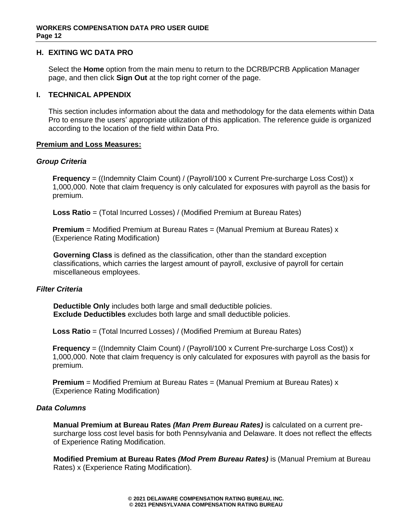## <span id="page-11-0"></span>**H. EXITING WC DATA PRO**

Select the **Home** option from the main menu to return to the DCRB/PCRB Application Manager page, and then click **Sign Out** at the top right corner of the page.

## <span id="page-11-1"></span>**I. TECHNICAL APPENDIX**

This section includes information about the data and methodology for the data elements within Data Pro to ensure the users' appropriate utilization of this application. The reference guide is organized according to the location of the field within Data Pro.

## **Premium and Loss Measures:**

## *Group Criteria*

**Frequency** = ((Indemnity Claim Count) / (Payroll/100 x Current Pre-surcharge Loss Cost)) x 1,000,000. Note that claim frequency is only calculated for exposures with payroll as the basis for premium.

 **Loss Ratio** = (Total Incurred Losses) / (Modified Premium at Bureau Rates)

**Premium** = Modified Premium at Bureau Rates = (Manual Premium at Bureau Rates) x (Experience Rating Modification)

**Governing Class** is defined as the classification, other than the standard exception classifications, which carries the largest amount of payroll, exclusive of payroll for certain miscellaneous employees.

## *Filter Criteria*

**Deductible Only** includes both large and small deductible policies. **Exclude Deductibles** excludes both large and small deductible policies.

 **Loss Ratio** = (Total Incurred Losses) / (Modified Premium at Bureau Rates)

**Frequency** = ((Indemnity Claim Count) / (Payroll/100 x Current Pre-surcharge Loss Cost)) x 1,000,000. Note that claim frequency is only calculated for exposures with payroll as the basis for premium.

 **Premium** = Modified Premium at Bureau Rates = (Manual Premium at Bureau Rates) x (Experience Rating Modification)

## *Data Columns*

**Manual Premium at Bureau Rates** *(Man Prem Bureau Rates)* is calculated on a current presurcharge loss cost level basis for both Pennsylvania and Delaware. It does not reflect the effects of Experience Rating Modification.

**Modified Premium at Bureau Rates** *(Mod Prem Bureau Rates)* is (Manual Premium at Bureau Rates) x (Experience Rating Modification).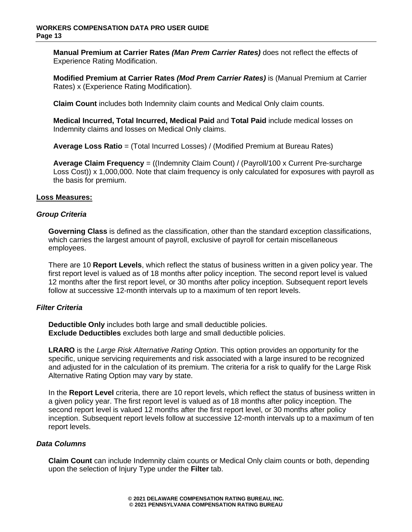**Manual Premium at Carrier Rates** *(Man Prem Carrier Rates)* does not reflect the effects of Experience Rating Modification.

**Modified Premium at Carrier Rates** *(Mod Prem Carrier Rates)* is (Manual Premium at Carrier Rates) x (Experience Rating Modification).

**Claim Count** includes both Indemnity claim counts and Medical Only claim counts.

**Medical Incurred, Total Incurred, Medical Paid** and **Total Paid** include medical losses on Indemnity claims and losses on Medical Only claims.

**Average Loss Ratio** = (Total Incurred Losses) / (Modified Premium at Bureau Rates)

**Average Claim Frequency** = ((Indemnity Claim Count) / (Payroll/100 x Current Pre-surcharge Loss Cost)) x 1,000,000. Note that claim frequency is only calculated for exposures with payroll as the basis for premium.

#### **Loss Measures:**

#### *Group Criteria*

**Governing Class** is defined as the classification, other than the standard exception classifications, which carries the largest amount of payroll, exclusive of payroll for certain miscellaneous employees.

There are 10 **Report Levels**, which reflect the status of business written in a given policy year. The first report level is valued as of 18 months after policy inception. The second report level is valued 12 months after the first report level, or 30 months after policy inception. Subsequent report levels follow at successive 12-month intervals up to a maximum of ten report levels.

## *Filter Criteria*

**Deductible Only** includes both large and small deductible policies. **Exclude Deductibles** excludes both large and small deductible policies.

**LRARO** is the *Large Risk Alternative Rating Option*. This option provides an opportunity for the specific, unique servicing requirements and risk associated with a large insured to be recognized and adjusted for in the calculation of its premium. The criteria for a risk to qualify for the Large Risk Alternative Rating Option may vary by state.

In the **Report Level** criteria, there are 10 report levels, which reflect the status of business written in a given policy year. The first report level is valued as of 18 months after policy inception. The second report level is valued 12 months after the first report level, or 30 months after policy inception. Subsequent report levels follow at successive 12-month intervals up to a maximum of ten report levels.

## *Data Columns*

**Claim Count** can include Indemnity claim counts or Medical Only claim counts or both, depending upon the selection of Injury Type under the **Filter** tab.